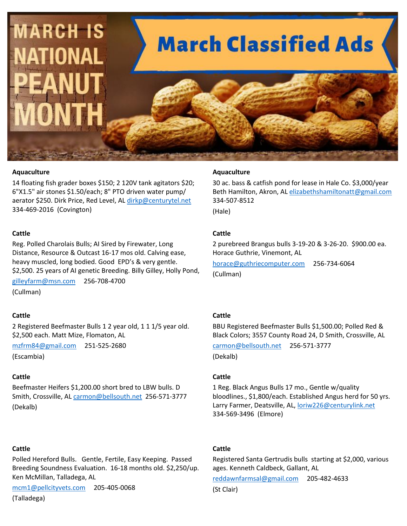

#### **Aquaculture**

14 floating fish grader boxes \$150; 2 120V tank agitators \$20; 6"X1.5" air stones \$1.50/each; 8" PTO driven water pump/ aerator \$250. Dirk Price, Red Level, AL [dirkp@centurytel.net](mailto:dirkp@centurytel.net) 334-469-2016 (Covington)

#### **Cattle**

Reg. Polled Charolais Bulls; AI Sired by Firewater, Long Distance, Resource & Outcast 16-17 mos old. Calving ease, heavy muscled, long bodied. Good EPD's & very gentle. \$2,500. 25 years of AI genetic Breeding. Billy Gilley, Holly Pond,

[gilleyfarm@msn.com](mailto:gilleyfarm@msn.com) 256-708-4700 (Cullman)

#### **Cattle**

2 Registered Beefmaster Bulls 1 2 year old, 1 1 1/5 year old. \$2,500 each. Matt Mize, Flomaton, AL

[mzfrm84@gmail.com](mailto:mzfrm84@gmail.com) 251-525-2680

(Escambia)

#### **Cattle**

Beefmaster Heifers \$1,200.00 short bred to LBW bulls. D Smith, Crossville, AL [carmon@bellsouth.net](mailto:carmon@bellsouth.net) 256-571-3777 (Dekalb)

## **Cattle**

Polled Hereford Bulls. Gentle, Fertile, Easy Keeping. Passed Breeding Soundness Evaluation. 16-18 months old. \$2,250/up. Ken McMillan, Talladega, AL

[mcm1@pellcityvets.com](mailto:mcm1@pellcityvets.com) 205-405-0068

(Talladega)

#### **Aquaculture**

30 ac. bass & catfish pond for lease in Hale Co. \$3,000/year Beth Hamilton, Akron, AL [elizabethshamiltonatt@gmail.com](mailto:elizabethshamiltonatt@gmail.com) 334-507-8512

(Hale)

## **Cattle**

2 purebreed Brangus bulls 3-19-20 & 3-26-20. \$900.00 ea. Horace Guthrie, Vinemont, AL

[horace@guthriecomputer.com](mailto:horace@guthriecomputer.com) 256-734-6064 (Cullman)

## **Cattle**

BBU Registered Beefmaster Bulls \$1,500.00; Polled Red & Black Colors; 3557 County Road 24, D Smith, Crossville, AL [carmon@bellsouth.net](mailto:carmon@bellsouth.net) 256-571-3777

(Dekalb)

#### **Cattle**

1 Reg. Black Angus Bulls 17 mo., Gentle w/quality bloodlines., \$1,800/each. Established Angus herd for 50 yrs. Larry Farmer, Deatsville, AL, [loriw226@centurylink.net](mailto:loriw226@centurylink.net) 334-569-3496 (Elmore)

## **Cattle**

Registered Santa Gertrudis bulls starting at \$2,000, various ages. Kenneth Caldbeck, Gallant, AL

[reddawnfarmsal@gmail.com](mailto:reddawnfarmsal@gmail.com) 205-482-4633

(St Clair)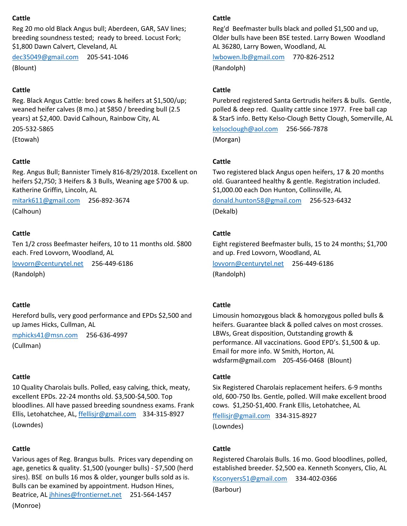## **Cattle**

Reg 20 mo old Black Angus bull; Aberdeen, GAR, SAV lines; breeding soundness tested; ready to breed. Locust Fork; \$1,800 Dawn Calvert, Cleveland, AL

[dec35049@gmail.com](mailto:dec35049@gmail.com) 205-541-1046 (Blount)

## **Cattle**

Reg. Black Angus Cattle: bred cows & heifers at \$1,500/up; weaned heifer calves (8 mo.) at \$850 / breeding bull (2.5 years) at \$2,400. David Calhoun, Rainbow City, AL

205-532-5865

(Etowah)

# **Cattle**

Reg. Angus Bull; Bannister Timely 816-8/29/2018. Excellent on heifers \$2,750; 3 Heifers & 3 Bulls, Weaning age \$700 & up. Katherine Griffin, Lincoln, AL

[mitark611@gmail.com](mailto:mitark611@gmail.com) 256-892-3674 (Calhoun)

## **Cattle**

Ten 1/2 cross Beefmaster heifers, 10 to 11 months old. \$800 each. Fred Lovvorn, Woodland, AL

[lovvorn@centurytel.net](mailto:lovvorn@centurytel.net) 256-449-6186 (Randolph)

## **Cattle**

Hereford bulls, very good performance and EPDs \$2,500 and up James Hicks, Cullman, AL

[mphicks41@msn.com](mailto:mphicks41@msn.com) 256-636-4997

(Cullman)

## **Cattle**

10 Quality Charolais bulls. Polled, easy calving, thick, meaty, excellent EPDs. 22-24 months old. \$3,500-\$4,500. Top bloodlines. All have passed breeding soundness exams. Frank Ellis, Letohatchee, AL, [ffellisjr@gmail.com](mailto:ffellisjr@gmail.com) 334-315-8927 (Lowndes)

## **Cattle**

Various ages of Reg. Brangus bulls. Prices vary depending on age, genetics & quality. \$1,500 (younger bulls) - \$7,500 (herd sires). BSE on bulls 16 mos & older, younger bulls sold as is. Bulls can be examined by appointment. Hudson Hines, Beatrice, AL [jhhines@frontiernet.net](mailto:jhhines@frontiernet.net) 251-564-1457 (Monroe)

## **Cattle**

Reg'd Beefmaster bulls black and polled \$1,500 and up, Older bulls have been BSE tested. Larry Bowen Woodland AL 36280, Larry Bowen, Woodland, AL

[lwbowen.lb@gmail.com](mailto:lwbowen.lb@gmail.com) 770-826-2512 (Randolph)

## **Cattle**

Purebred registered Santa Gertrudis heifers & bulls. Gentle, polled & deep red. Quality cattle since 1977. Free ball cap & Star5 info. Betty Kelso-Clough Betty Clough, Somerville, AL

[kelsoclough@aol.com](mailto:kelsoclough@aol.com) 256-566-7878

(Morgan)

## **Cattle**

Two registered black Angus open heifers, 17 & 20 months old. Guaranteed healthy & gentle. Registration included. \$1,000.00 each Don Hunton, Collinsville, AL

[donald.hunton58@gmail.com](mailto:donald.hunton58@gmail.com) 256-523-6432 (Dekalb)

## **Cattle**

Eight registered Beefmaster bulls, 15 to 24 months; \$1,700 and up. Fred Lovvorn, Woodland, AL

[lovvorn@centurytel.net](mailto:lovvorn@centurytel.net) 256-449-6186 (Randolph)

## **Cattle**

Limousin homozygous black & homozygous polled bulls & heifers. Guarantee black & polled calves on most crosses. LBWs, Great disposition, Outstanding growth & performance. All vaccinations. Good EPD's. \$1,500 & up. Email for more info. W Smith, Horton, AL wdsfarm@gmail.com 205-456-0468 (Blount)

## **Cattle**

Six Registered Charolais replacement heifers. 6-9 months old, 600-750 lbs. Gentle, polled. Will make excellent brood cows. \$1,250-\$1,400. Frank Ellis, Letohatchee, AL

[ffellisjr@gmail.com](mailto:ffellisjr@gmail.com) 334-315-8927 (Lowndes)

## **Cattle**

Registered Charolais Bulls. 16 mo. Good bloodlines, polled, established breeder. \$2,500 ea. Kenneth Sconyers, Clio, AL

[Ksconyers51@gmail.com](mailto:Ksconyers51@gmail.com) 334-402-0366

(Barbour)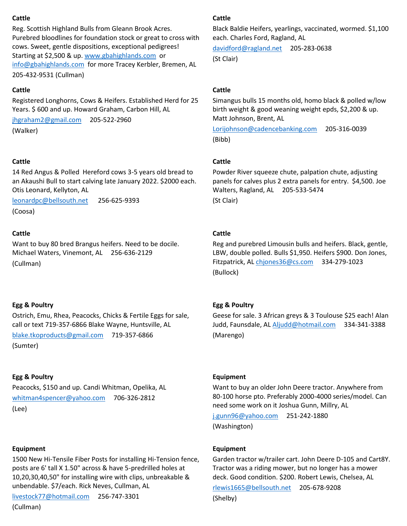## **Cattle**

Reg. Scottish Highland Bulls from Gleann Brook Acres. Purebred bloodlines for foundation stock or great to cross with cows. Sweet, gentle dispositions, exceptional pedigrees! Starting at \$2,500 & up. [www.gbahighlands.com](http://www.gbahighlands.com/) or [info@gbahighlands.com](mailto:info@gbahighlands.com) for more Tracey Kerbler, Bremen, AL 205-432-9531 (Cullman)

# **Cattle**

Registered Longhorns, Cows & Heifers. Established Herd for 25 Years. \$600 and up. Howard Graham, Carbon Hill, AL

[jhgraham2@gmail.com](mailto:jhgraham2@gmail.com) 205-522-2960 (Walker)

## **Cattle**

14 Red Angus & Polled Hereford cows 3-5 years old bread to an Akaushi Bull to start calving late January 2022. \$2000 each. Otis Leonard, Kellyton, AL

[leonardpc@bellsouth.net](mailto:leonardpc@bellsouth.net) 256-625-9393 (Coosa)

# **Cattle**

Want to buy 80 bred Brangus heifers. Need to be docile. Michael Waters, Vinemont, AL 256-636-2129 (Cullman)

# **Egg & Poultry**

Ostrich, Emu, Rhea, Peacocks, Chicks & Fertile Eggs for sale, call or text 719-357-6866 Blake Wayne, Huntsville, AL

[blake.tkoproducts@gmail.com](mailto:blake.tkoproducts@gmail.com) 719-357-6866

(Sumter)

# **Egg & Poultry**

Peacocks, \$150 and up. Candi Whitman, Opelika, AL [whitman4spencer@yahoo.com](mailto:whitman4spencer@yahoo.com) 706-326-2812 (Lee)

## **Equipment**

1500 New Hi-Tensile Fiber Posts for installing Hi-Tension fence, posts are 6' tall X 1.50" across & have 5-predrilled holes at 10,20,30,40,50" for installing wire with clips, unbreakable & unbendable. \$7/each. Rick Neves, Cullman, AL

[livestock77@hotmail.com](mailto:livestock77@hotmail.com) 256-747-3301 (Cullman)

# **Cattle**

Black Baldie Heifers, yearlings, vaccinated, wormed. \$1,100 each. Charles Ford, Ragland, AL

[davidford@ragland.net](mailto:davidford@ragland.net) 205-283-0638 (St Clair)

# **Cattle**

Simangus bulls 15 months old, homo black & polled w/low birth weight & good weaning weight epds, \$2,200 & up. Matt Johnson, Brent, AL

[Lorijohnson@cadencebanking.com](mailto:Lorijohnson@cadencebanking.com) 205-316-0039 (Bibb)

# **Cattle**

Powder River squeeze chute, palpation chute, adjusting panels for calves plus 2 extra panels for entry. \$4,500. Joe Walters, Ragland, AL 205-533-5474 (St Clair)

# **Cattle**

Reg and purebred Limousin bulls and heifers. Black, gentle, LBW, double polled. Bulls \$1,950. Heifers \$900. Don Jones, Fitzpatrick, AL [chjones36@cs.com](mailto:chjones36@cs.com) 334-279-1023 (Bullock)

# **Egg & Poultry**

Geese for sale. 3 African greys & 3 Toulouse \$25 each! Alan Judd, Faunsdale, AL [Aljudd@hotmail.com](mailto:Aljudd@hotmail.com) 334-341-3388 (Marengo)

## **Equipment**

Want to buy an older John Deere tractor. Anywhere from 80-100 horse pto. Preferably 2000-4000 series/model. Can need some work on it Joshua Gunn, Millry, AL

[j.gunn96@yahoo.com](mailto:j.gunn96@yahoo.com) 251-242-1880 (Washington)

## **Equipment**

Garden tractor w/trailer cart. John Deere D-105 and Cart8Y. Tractor was a riding mower, but no longer has a mower deck. Good condition. \$200. Robert Lewis, Chelsea, AL

[rlewis1665@bellsouth.net](mailto:rlewis1665@bellsouth.net) 205-678-9208 (Shelby)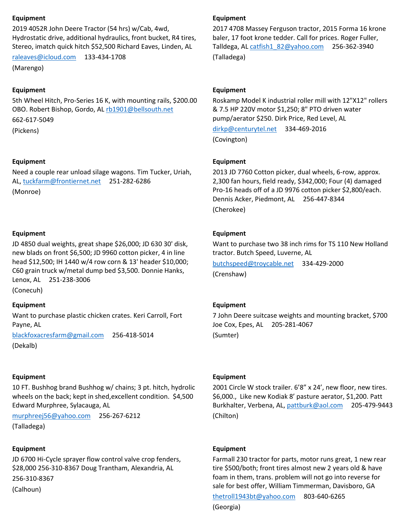## **Equipment**

2019 4052R John Deere Tractor (54 hrs) w/Cab, 4wd, Hydrostatic drive, additional hydraulics, front bucket, R4 tires, Stereo, imatch quick hitch \$52,500 Richard Eaves, Linden, AL

[raleaves@icloud.com](mailto:raleaves@icloud.com) 133-434-1708

(Marengo)

## **Equipment**

5th Wheel Hitch, Pro-Series 16 K, with mounting rails, \$200.00 OBO. Robert Bishop, Gordo, A[L rb1901@bellsouth.net](mailto:rb1901@bellsouth.net) 662-617-5049 (Pickens)

**Equipment**

Need a couple rear unload silage wagons. Tim Tucker, Uriah, AL[, tuckfarm@frontiernet.net](mailto:tuckfarm@frontiernet.net) 251-282-6286

(Monroe)

## **Equipment**

JD 4850 dual weights, great shape \$26,000; JD 630 30' disk, new blads on front \$6,500; JD 9960 cotton picker, 4 in line head \$12,500; IH 1440 w/4 row corn & 13' header \$10,000; C60 grain truck w/metal dump bed \$3,500. Donnie Hanks, Lenox, AL 251-238-3006

(Conecuh)

## **Equipment**

Want to purchase plastic chicken crates. Keri Carroll, Fort Payne, AL

[blackfoxacresfarm@gmail.com](mailto:blackfoxacresfarm@gmail.com) 256-418-5014 (Dekalb)

## **Equipment**

10 FT. Bushhog brand Bushhog w/ chains; 3 pt. hitch, hydrolic wheels on the back; kept in shed,excellent condition. \$4,500 Edward Murphree, Sylacauga, AL

[murphreej56@yahoo.com](mailto:murphreej56@yahoo.com) 256-267-6212

(Talladega)

## **Equipment**

JD 6700 Hi-Cycle sprayer flow control valve crop fenders, \$28,000 256-310-8367 Doug Trantham, Alexandria, AL

256-310-8367

(Calhoun)

## **Equipment**

2017 4708 Massey Ferguson tractor, 2015 Forma 16 krone baler, 17 foot krone tedder. Call for prices. Roger Fuller, Talldega, AL [catfish1\\_82@yahoo.com](mailto:catfish1_82@yahoo.com) 256-362-3940 (Talladega)

## **Equipment**

Roskamp Model K industrial roller mill with 12"X12" rollers & 7.5 HP 220V motor \$1,250; 8" PTO driven water pump/aerator \$250. Dirk Price, Red Level, AL

[dirkp@centurytel.net](mailto:dirkp@centurytel.net) 334-469-2016

(Covington)

#### **Equipment**

2013 JD 7760 Cotton picker, dual wheels, 6-row, approx. 2,300 fan hours, field ready, \$342,000; Four (4) damaged Pro-16 heads off of a JD 9976 cotton picker \$2,800/each. Dennis Acker, Piedmont, AL 256-447-8344 (Cherokee)

## **Equipment**

Want to purchase two 38 inch rims for TS 110 New Holland tractor. Butch Speed, Luverne, AL

[butchspeed@troycable.net](mailto:butchspeed@troycable.net) 334-429-2000 (Crenshaw)

## **Equipment**

7 John Deere suitcase weights and mounting bracket, \$700 Joe Cox, Epes, AL 205-281-4067 (Sumter)

#### **Equipment**

2001 Circle W stock trailer. 6'8" x 24', new floor, new tires. \$6,000., Like new Kodiak 8' pasture aerator, \$1,200. Patt Burkhalter, Verbena, AL, [pattburk@aol.com](mailto:pattburk@aol.com) 205-479-9443 (Chilton)

#### **Equipment**

Farmall 230 tractor for parts, motor runs great, 1 new rear tire \$500/both; front tires almost new 2 years old & have foam in them, trans. problem will not go into reverse for sale for best offer, William Timmerman, Davisboro, GA

[thetroll1943bt@yahoo.com](mailto:thetroll1943bt@yahoo.com) 803-640-6265 (Georgia)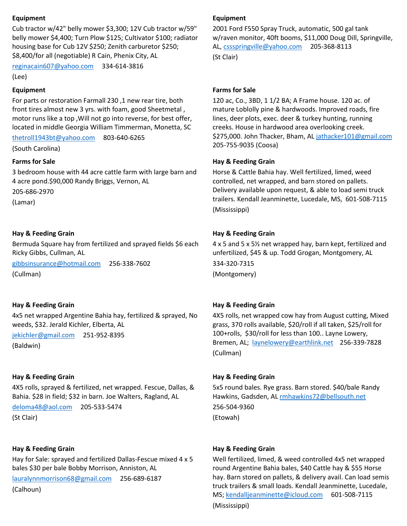## **Equipment**

Cub tractor w/42" belly mower \$3,300; 12V Cub tractor w/59" belly mower \$4,400; Turn Plow \$125; Cultivator \$100; radiator housing base for Cub 12V \$250; Zenith carburetor \$250; \$8,400/for all (negotiable) R Cain, Phenix City, AL

[reginacain607@yahoo.com](mailto:reginacain607@yahoo.com) 334-614-3816

(Lee)

#### **Equipment**

For parts or restoration Farmall 230 ,1 new rear tire, both front tires almost new 3 yrs. with foam, good Sheetmetal , motor runs like a top ,Will not go into reverse, for best offer, located in middle Georgia William Timmerman, Monetta, SC

[thetroll1943bt@yahoo.com](mailto:thetroll1943bt@yahoo.com) 803-640-6265

(South Carolina)

#### **Farms for Sale**

3 bedroom house with 44 acre cattle farm with large barn and 4 acre pond.\$90,000 Randy Briggs, Vernon, AL

205-686-2970

(Lamar)

## **Hay & Feeding Grain**

Bermuda Square hay from fertilized and sprayed fields \$6 each Ricky Gibbs, Cullman, AL

[gibbsinsurance@hotmail.com](mailto:gibbsinsurance@hotmail.com) 256-338-7602 (Cullman)

## **Hay & Feeding Grain**

4x5 net wrapped Argentine Bahia hay, fertilized & sprayed, No weeds, \$32. Jerald Kichler, Elberta, AL

[jekichler@gmail.com](mailto:jekichler@gmail.com) 251-952-8395

(Baldwin)

## **Hay & Feeding Grain**

4X5 rolls, sprayed & fertilized, net wrapped. Fescue, Dallas, & Bahia. \$28 in field; \$32 in barn. Joe Walters, Ragland, AL

[deloma48@aol.com](mailto:deloma48@aol.com) 205-533-5474

(St Clair)

#### **Hay & Feeding Grain**

Hay for Sale: sprayed and fertilized Dallas-Fescue mixed 4 x 5 bales \$30 per bale Bobby Morrison, Anniston, AL

[lauralynnmorrison68@gmail.com](mailto:lauralynnmorrison68@gmail.com) 256-689-6187

(Calhoun)

### **Equipment**

2001 Ford F550 Spray Truck, automatic, 500 gal tank w/raven monitor, 40ft booms, \$11,000 Doug Dill, Springville, AL, [cssspringville@yahoo.com](mailto:cssspringville@yahoo.com) 205-368-8113 (St Clair)

#### **Farms for Sale**

120 ac, Co., 3BD, 1 1/2 BA; A Frame house. 120 ac. of mature Loblolly pine & hardwoods. Improved roads, fire lines, deer plots, exec. deer & turkey hunting, running creeks. House in hardwood area overlooking creek. \$275,000. John Thacker, Bham, A[L jathacker101@gmail.com](mailto:jathacker101@gmail.com) 205-755-9035 (Coosa)

#### **Hay & Feeding Grain**

Horse & Cattle Bahia hay. Well fertilized, limed, weed controlled, net wrapped, and barn stored on pallets. Delivery available upon request, & able to load semi truck trailers. Kendall Jeanminette, Lucedale, MS, 601-508-7115 (Mississippi)

## **Hay & Feeding Grain**

4 x 5 and 5 x 5½ net wrapped hay, barn kept, fertilized and unfertilized, \$45 & up. Todd Grogan, Montgomery, AL 334-320-7315 (Montgomery)

## **Hay & Feeding Grain**

4X5 rolls, net wrapped cow hay from August cutting, Mixed grass, 370 rolls available, \$20/roll if all taken, \$25/roll for 100+rolls, \$30/roll for less than 100.. Layne Lowery, Bremen, AL; [laynelowery@earthlink.net](mailto:laynelowery@earthlink.net) 256-339-7828 (Cullman)

## **Hay & Feeding Grain**

5x5 round bales. Rye grass. Barn stored. \$40/bale Randy Hawkins, Gadsden, A[L rmhawkins72@bellsouth.net](mailto:rmhawkins72@bellsouth.net) 256-504-9360 (Etowah)

## **Hay & Feeding Grain**

Well fertilized, limed, & weed controlled 4x5 net wrapped round Argentine Bahia bales, \$40 Cattle hay & \$55 Horse hay. Barn stored on pallets, & delivery avail. Can load semis truck trailers & small loads. Kendall Jeanminette, Lucedale, MS; [kendalljeanminette@icloud.com](mailto:kendalljeanminette@icloud.com) 601-508-7115 (Mississippi)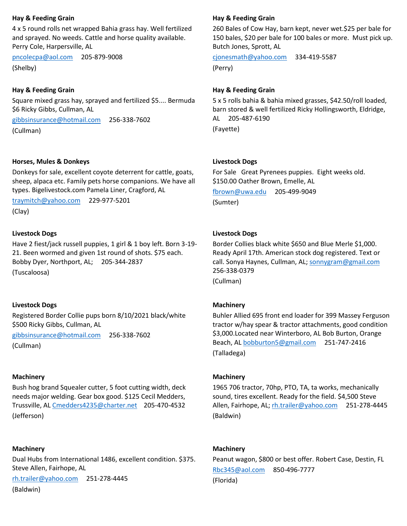## **Hay & Feeding Grain**

4 x 5 round rolls net wrapped Bahia grass hay. Well fertilized and sprayed. No weeds. Cattle and horse quality available. Perry Cole, Harpersville, AL

[pncolecpa@aol.com](mailto:pncolecpa@aol.com) 205-879-9008 (Shelby)

## **Hay & Feeding Grain**

Square mixed grass hay, sprayed and fertilized \$5.... Bermuda \$6 Ricky Gibbs, Cullman, AL

[gibbsinsurance@hotmail.com](mailto:gibbsinsurance@hotmail.com) 256-338-7602 (Cullman)

#### **Horses, Mules & Donkeys**

Donkeys for sale, excellent coyote deterrent for cattle, goats, sheep, alpaca etc. Family pets horse companions. We have all types. Bigelivestock.com Pamela Liner, Cragford, AL

[traymitch@yahoo.com](mailto:traymitch@yahoo.com) 229-977-5201 (Clay)

## **Livestock Dogs**

Have 2 fiest/jack russell puppies, 1 girl & 1 boy left. Born 3-19- 21. Been wormed and given 1st round of shots. \$75 each. Bobby Dyer, Northport, AL; 205-344-2837 (Tuscaloosa)

## **Livestock Dogs**

Registered Border Collie pups born 8/10/2021 black/white \$500 Ricky Gibbs, Cullman, AL

[gibbsinsurance@hotmail.com](mailto:gibbsinsurance@hotmail.com) 256-338-7602

(Cullman)

## **Machinery**

Bush hog brand Squealer cutter, 5 foot cutting width, deck needs major welding. Gear box good. \$125 Cecil Medders, Trussville, A[L Cmedders4235@charter.net](mailto:Cmedders4235@charter.net) 205-470-4532 (Jefferson)

## **Machinery**

Dual Hubs from International 1486, excellent condition. \$375. Steve Allen, Fairhope, AL

[rh.trailer@yahoo.com](mailto:rh.trailer@yahoo.com) 251-278-4445 (Baldwin)

#### **Hay & Feeding Grain**

260 Bales of Cow Hay, barn kept, never wet.\$25 per bale for 150 bales, \$20 per bale for 100 bales or more. Must pick up. Butch Jones, Sprott, AL

[cjonesmath@yahoo.com](mailto:cjonesmath@yahoo.com) 334-419-5587 (Perry)

#### **Hay & Feeding Grain**

5 x 5 rolls bahia & bahia mixed grasses, \$42.50/roll loaded, barn stored & well fertilized Ricky Hollingsworth, Eldridge, AL 205-487-6190

(Fayette)

#### **Livestock Dogs**

For Sale Great Pyrenees puppies. Eight weeks old. \$150.00 Oather Brown, Emelle, AL

[fbrown@uwa.edu](mailto:fbrown@uwa.edu) 205-499-9049 (Sumter)

#### **Livestock Dogs**

Border Collies black white \$650 and Blue Merle \$1,000. Ready April 17th. American stock dog registered. Text or call. Sonya Haynes, Cullman, AL; [sonnygram@gmail.com](mailto:sonnygram@gmail.com) 256-338-0379

(Cullman)

## **Machinery**

Buhler Allied 695 front end loader for 399 Massey Ferguson tractor w/hay spear & tractor attachments, good condition \$3,000.Located near Winterboro, AL Bob Burton, Orange Beach, AL [bobburton5@gmail.com](mailto:bobburton5@gmail.com) 251-747-2416 (Talladega)

#### **Machinery**

1965 706 tractor, 70hp, PTO, TA, ta works, mechanically sound, tires excellent. Ready for the field. \$4,500 Steve Allen, Fairhope, AL; [rh.trailer@yahoo.com](mailto:rh.trailer@yahoo.com) 251-278-4445 (Baldwin)

#### **Machinery**

Peanut wagon, \$800 or best offer. Robert Case, Destin, FL [Rbc345@aol.com](mailto:Rbc345@aol.com) 850-496-7777 (Florida)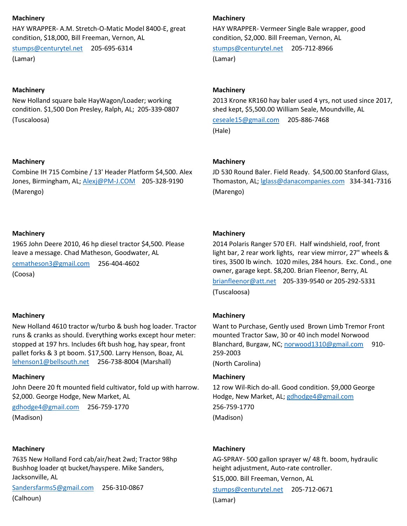### **Machinery**

HAY WRAPPER- A.M. Stretch-O-Matic Model 8400-E, great condition, \$18,000, Bill Freeman, Vernon, AL

[stumps@centurytel.net](mailto:stumps@centurytel.net) 205-695-6314 (Lamar)

#### **Machinery**

New Holland square bale HayWagon/Loader; working condition. \$1,500 Don Presley, Ralph, AL; 205-339-0807 (Tuscaloosa)

#### **Machinery**

Combine IH 715 Combine / 13' Header Platform \$4,500. Alex Jones, Birmingham, AL; [Alexj@PM-J.COM](mailto:Alexj@PM-J.COM) 205-328-9190 (Marengo)

#### **Machinery**

1965 John Deere 2010, 46 hp diesel tractor \$4,500. Please leave a message. Chad Matheson, Goodwater, AL

[cematheson3@gmail.com](mailto:cematheson3@gmail.com) 256-404-4602 (Coosa)

## **Machinery**

New Holland 4610 tractor w/turbo & bush hog loader. Tractor runs & cranks as should. Everything works except hour meter: stopped at 197 hrs. Includes 6ft bush hog, hay spear, front pallet forks & 3 pt boom. \$17,500. Larry Henson, Boaz, AL [lehenson1@bellsouth.net](mailto:lehenson1@bellsouth.net) 256-738-8004 (Marshall)

#### **Machinery**

John Deere 20 ft mounted field cultivator, fold up with harrow. \$2,000. George Hodge, New Market, AL

[gdhodge4@gmail.com](mailto:gdhodge4@gmail.com) 256-759-1770 (Madison)

#### **Machinery**

7635 New Holland Ford cab/air/heat 2wd; Tractor 98hp Bushhog loader qt bucket/hayspere. Mike Sanders, Jacksonville, AL

[Sandersfarms5@gmail.com](mailto:Sandersfarms5@gmail.com) 256-310-0867 (Calhoun)

#### **Machinery**

HAY WRAPPER- Vermeer Single Bale wrapper, good condition, \$2,000. Bill Freeman, Vernon, AL

[stumps@centurytel.net](mailto:stumps@centurytel.net) 205-712-8966 (Lamar)

#### **Machinery**

2013 Krone KR160 hay baler used 4 yrs, not used since 2017, shed kept, \$5,500.00 William Seale, Moundville, AL

[ceseale15@gmail.com](mailto:ceseale15@gmail.com) 205-886-7468 (Hale)

#### **Machinery**

JD 530 Round Baler. Field Ready. \$4,500.00 Stanford Glass, Thomaston, AL; [lglass@danacompanies.com](mailto:lglass@danacompanies.com) 334-341-7316 (Marengo)

## **Machinery**

2014 Polaris Ranger 570 EFI. Half windshield, roof, front light bar, 2 rear work lights, rear view mirror, 27" wheels & tires, 3500 lb winch. 1020 miles, 284 hours. Exc. Cond., one owner, garage kept. \$8,200. Brian Fleenor, Berry, AL [brianfleenor@att.net](mailto:brianfleenor@att.net) 205-339-9540 or 205-292-5331 (Tuscaloosa)

## **Machinery**

Want to Purchase, Gently used Brown Limb Tremor Front mounted Tractor Saw, 30 or 40 inch model Norwood Blanchard, Burgaw, NC; [norwood1310@gmail.com](mailto:norwood1310@gmail.com) 910-259-2003 (North Carolina)

## **Machinery**

12 row Wil-Rich do-all. Good condition. \$9,000 George Hodge, New Market, AL[; gdhodge4@gmail.com](mailto:gdhodge4@gmail.com) 256-759-1770

(Madison)

## **Machinery**

AG-SPRAY- 500 gallon sprayer w/ 48 ft. boom, hydraulic height adjustment, Auto-rate controller.

\$15,000. Bill Freeman, Vernon, AL [stumps@centurytel.net](mailto:stumps@centurytel.net) 205-712-0671 (Lamar)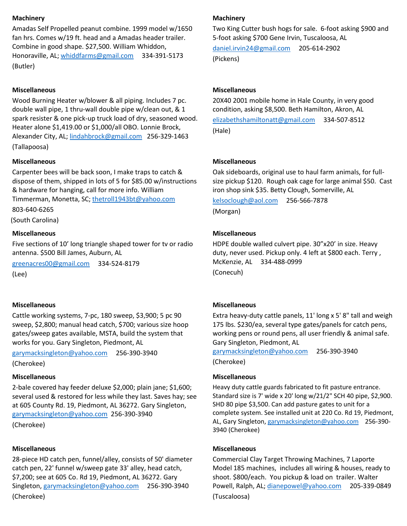## **Machinery**

Amadas Self Propelled peanut combine. 1999 model w/1650 fan hrs. Comes w/19 ft. head and a Amadas header trailer. Combine in good shape. \$27,500. William Whiddon, Honoraville, AL[; whiddfarms@gmail.com](mailto:whiddfarms@gmail.com) 334-391-5173 (Butler)

## **Miscellaneous**

Wood Burning Heater w/blower & all piping. Includes 7 pc. double wall pipe, 1 thru-wall double pipe w/clean out, & 1 spark resister & one pick-up truck load of dry, seasoned wood. Heater alone \$1,419.00 or \$1,000/all OBO. Lonnie Brock, Alexander City, AL; [lindahbrock@gmail.com](mailto:lindahbrock@gmail.com) 256-329-1463 (Tallapoosa)

## **Miscellaneous**

Carpenter bees will be back soon, I make traps to catch & dispose of them, shipped in lots of 5 for \$85.00 w/instructions & hardware for hanging, call for more info. William Timmerman, Monetta, SC; [thetroll1943bt@yahoo.com](mailto:thetroll1943bt@yahoo.com)

803-640-6265

(South Carolina)

#### **Miscellaneous**

Five sections of 10' long triangle shaped tower for tv or radio antenna. \$500 Bill James, Auburn, AL

[greenacres00@gmail.com](mailto:greenacres00@gmail.com) 334-524-8179 (Lee)

## **Miscellaneous**

Cattle working systems, 7-pc, 180 sweep, \$3,900; 5 pc 90 sweep, \$2,800; manual head catch, \$700; various size hoop gates/sweep gates available, MSTA, build the system that works for you. Gary Singleton, Piedmont, AL

[garymacksingleton@yahoo.com](mailto:garymacksingleton@yahoo.com) 256-390-3940

(Cherokee)

## **Miscellaneous**

2-bale covered hay feeder deluxe \$2,000; plain jane; \$1,600; several used & restored for less while they last. Saves hay; see at 605 County Rd. 19, Piedmont, AL 36272. Gary Singleton, [garymacksingleton@yahoo.com](mailto:garymacksingleton@yahoo.com) 256-390-3940

(Cherokee)

## **Miscellaneous**

28-piece HD catch pen, funnel/alley, consists of 50' diameter catch pen, 22' funnel w/sweep gate 33' alley, head catch, \$7,200; see at 605 Co. Rd 19, Piedmont, AL 36272. Gary Singleton, [garymacksingleton@yahoo.com](mailto:garymacksingleton@yahoo.com) 256-390-3940 (Cherokee)

## **Machinery**

Two King Cutter bush hogs for sale. 6-foot asking \$900 and 5-foot asking \$700 Gene Irvin, Tuscaloosa, AL

[daniel.irvin24@gmail.com](mailto:daniel.irvin24@gmail.com) 205-614-2902 (Pickens)

## **Miscellaneous**

20X40 2001 mobile home in Hale County, in very good condition, asking \$8,500. Beth Hamilton, Akron, AL [elizabethshamiltonatt@gmail.com](mailto:elizabethshamiltonatt@gmail.com) 334-507-8512 (Hale)

## **Miscellaneous**

Oak sideboards, original use to haul farm animals, for fullsize pickup \$120. Rough oak cage for large animal \$50. Cast iron shop sink \$35. Betty Clough, Somerville, AL

[kelsoclough@aol.com](mailto:kelsoclough@aol.com) 256-566-7878 (Morgan)

## **Miscellaneous**

HDPE double walled culvert pipe. 30"x20' in size. Heavy duty, never used. Pickup only. 4 left at \$800 each. Terry , McKenzie, AL 334-488-0999 (Conecuh)

## **Miscellaneous**

Extra heavy-duty cattle panels, 11' long x 5' 8" tall and weigh 175 lbs. \$230/ea, several type gates/panels for catch pens, working pens or round pens, all user friendly & animal safe. Gary Singleton, Piedmont, AL

[garymacksingleton@yahoo.com](mailto:garymacksingleton@yahoo.com) 256-390-3940 (Cherokee)

## **Miscellaneous**

Heavy duty cattle guards fabricated to fit pasture entrance. Standard size is 7' wide x 20' long w/21/2" SCH 40 pipe, \$2,900. SHD 80 pipe \$3,500. Can add pasture gates to unit for a complete system. See installed unit at 220 Co. Rd 19, Piedmont, AL, Gary Singleton[, garymacksingleton@yahoo.com](mailto:garymacksingleton@yahoo.com) 256-390-3940 (Cherokee)

## **Miscellaneous**

Commercial Clay Target Throwing Machines, 7 Laporte Model 185 machines, includes all wiring & houses, ready to shoot. \$800/each. You pickup & load on trailer. Walter Powell, Ralph, AL; [dianepowel@yahoo.com](mailto:dianepowel@yahoo.com) 205-339-0849 (Tuscaloosa)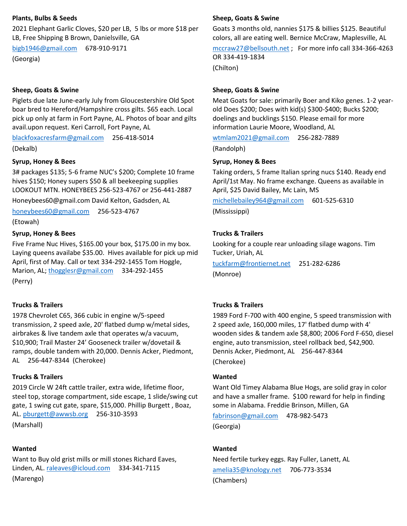### **Plants, Bulbs & Seeds**

2021 Elephant Garlic Cloves, \$20 per LB, 5 lbs or more \$18 per LB, Free Shipping B Brown, Danielsville, GA

[bigb1946@gmail.com](mailto:bigb1946@gmail.com) 678-910-9171 (Georgia)

#### **Sheep, Goats & Swine**

Piglets due late June-early July from Gloucestershire Old Spot boar bred to Hereford/Hampshire cross gilts. \$65 each. Local pick up only at farm in Fort Payne, AL. Photos of boar and gilts avail.upon request. Keri Carroll, Fort Payne, AL

[blackfoxacresfarm@gmail.com](mailto:blackfoxacresfarm@gmail.com) 256-418-5014

(Dekalb)

#### **Syrup, Honey & Bees**

3# packages \$135; 5-6 frame NUC's \$200; Complete 10 frame hives \$150; Honey supers \$50 & all beekeeping supplies LOOKOUT MTN. HONEYBEES 256-523-4767 or 256-441-2887

Honeybees60@gmail.com David Kelton, Gadsden, AL

[honeybees60@gmail.com](mailto:honeybees60@gmail.com) 256-523-4767

(Etowah)

## **Syrup, Honey & Bees**

Five Frame Nuc Hives, \$165.00 your box, \$175.00 in my box. Laying queens availabe \$35.00. Hives available for pick up mid April, first of May. Call or text 334-292-1455 Tom Hoggle, Marion, AL[; thogglesr@gmail.com](mailto:thogglesr@gmail.com) 334-292-1455 (Perry)

## **Trucks & Trailers**

1978 Chevrolet C65, 366 cubic in engine w/5-speed transmission, 2 speed axle, 20' flatbed dump w/metal sides, airbrakes & live tandem axle that operates w/a vacuum, \$10,900; Trail Master 24' Gooseneck trailer w/dovetail & ramps, double tandem with 20,000. Dennis Acker, Piedmont, AL 256-447-8344 (Cherokee)

## **Trucks & Trailers**

2019 Circle W 24ft cattle trailer, extra wide, lifetime floor, steel top, storage compartment, side escape, 1 slide/swing cut gate, 1 swing cut gate, spare, \$15,000. Phillip Burgett , Boaz, AL[. pburgett@awwsb.org](mailto:pburgett@awwsb.org) 256-310-3593 (Marshall)

#### **Wanted**

Want to Buy old grist mills or mill stones Richard Eaves, Linden, AL. [raleaves@icloud.com](mailto:raleaves@icloud.com) 334-341-7115

(Marengo)

#### **Sheep, Goats & Swine**

Goats 3 months old, nannies \$175 & billies \$125. Beautiful colors, all are eating well. Bernice McCraw, Maplesville, AL [mccraw27@bellsouth.net](mailto:mccraw27@bellsouth.net) ; For more info call 334-366-4263

OR 334-419-1834

(Chilton)

#### **Sheep, Goats & Swine**

Meat Goats for sale: primarily Boer and Kiko genes. 1-2 yearold Does \$200; Does with kid(s) \$300-\$400; Bucks \$200; doelings and bucklings \$150. Please email for more information Laurie Moore, Woodland, AL

[wtmlam2021@gmail.com](mailto:wtmlam2021@gmail.com) 256-282-7889

(Randolph)

#### **Syrup, Honey & Bees**

Taking orders, 5 frame Italian spring nucs \$140. Ready end April/1st May. No frame exchange. Queens as available in April, \$25 David Bailey, Mc Lain, MS

[michellebailey964@gmail.com](mailto:michellebailey964@gmail.com) 601-525-6310 (Mississippi)

#### **Trucks & Trailers**

Looking for a couple rear unloading silage wagons. Tim Tucker, Uriah, AL

[tuckfarm@frontiernet.net](mailto:tuckfarm@frontiernet.net) 251-282-6286 (Monroe)

## **Trucks & Trailers**

1989 Ford F-700 with 400 engine, 5 speed transmission with 2 speed axle, 160,000 miles, 17' flatbed dump with 4' wooden sides & tandem axle \$8,800; 2006 Ford F-650, diesel engine, auto transmission, steel rollback bed, \$42,900. Dennis Acker, Piedmont, AL 256-447-8344 (Cherokee)

#### **Wanted**

Want Old Timey Alabama Blue Hogs, are solid gray in color and have a smaller frame. \$100 reward for help in finding some in Alabama. Freddie Brinson, Millen, GA

[fabrinson@gmail.com](mailto:fabrinson@gmail.com) 478-982-5473 (Georgia)

#### **Wanted**

Need fertile turkey eggs. Ray Fuller, Lanett, AL [amelia35@knology.net](mailto:amelia35@knology.net) 706-773-3534 (Chambers)